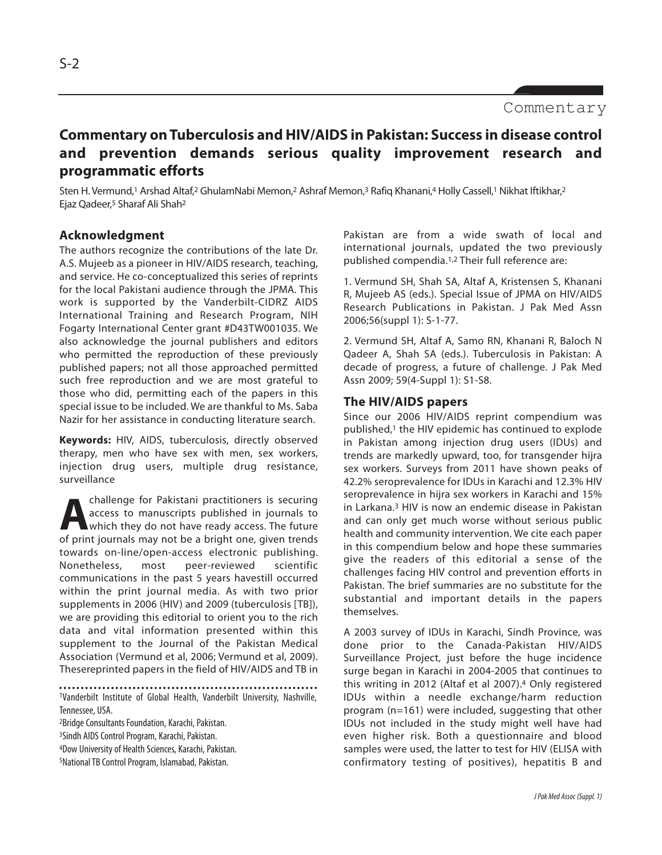# **Commentary on Tuberculosis and HIV/AIDS in Pakistan: Success in disease control and prevention demands serious quality improvement research and programmatic efforts**

Sten H. Vermund,<sup>1</sup> Arshad Altaf,<sup>2</sup> GhulamNabi Memon,<sup>2</sup> Ashraf Memon,<sup>3</sup> Rafiq Khanani,4 Holly Cassell,<sup>1</sup> Nikhat Iftikhar,<sup>2</sup> Ejaz Qadeer,<sup>5</sup> Sharaf Ali Shah<sup>2</sup>

# **Acknowledgment**

The authors recognize the contributions of the late Dr. A.S. Mujeeb as a pioneer in HIV/AIDS research, teaching, and service. He co-conceptualized this series of reprints for the local Pakistani audience through the JPMA. This work is supported by the Vanderbilt-CIDRZ AIDS International Training and Research Program, NIH Fogarty International Center grant #D43TW001035. We also acknowledge the journal publishers and editors who permitted the reproduction of these previously published papers; not all those approached permitted such free reproduction and we are most grateful to those who did, permitting each of the papers in this special issue to be included. We are thankful to Ms. Saba Nazir for her assistance in conducting literature search.

**Keywords:** HIV, AIDS, tuberculosis, directly observed therapy, men who have sex with men, sex workers, injection drug users, multiple drug resistance, surveillance

**A** challenge for Pakistani practitioners is securing access to manuscripts published in journals to which they do not have ready access. The future of print journals may not be a bright one, given trends challenge for Pakistani practitioners is securing access to manuscripts published in journals to Which they do not have ready access. The future towards on-line/open-access electronic publishing. Nonetheless, most peer-reviewed scientific communications in the past 5 years havestill occurred within the print journal media. As with two prior supplements in 2006 (HIV) and 2009 (tuberculosis [TB]), we are providing this editorial to orient you to the rich data and vital information presented within this supplement to the Journal of the Pakistan Medical Association (Vermund et al, 2006; Vermund et al, 2009). Thesereprinted papers in the field of HIV/AIDS and TB in

<sup>1</sup>Vanderbilt Institute of Global Health, Vanderbilt University, Nashville, Tennessee, USA.

<sup>2</sup>Bridge Consultants Foundation, Karachi, Pakistan.

<sup>3</sup>Sindh AIDS Control Program, Karachi, Pakistan.

<sup>4</sup>Dow University of Health Sciences, Karachi, Pakistan.

5National TB Control Program, Islamabad, Pakistan.

Pakistan are from a wide swath of local and international journals, updated the two previously published compendia.1,2 Their full reference are:

1. Vermund SH, Shah SA, Altaf A, Kristensen S, Khanani R, Mujeeb AS (eds.). Special Issue of JPMA on HIV/AIDS Research Publications in Pakistan. J Pak Med Assn 2006;56(suppl 1): S-1-77.

2. Vermund SH, Altaf A, Samo RN, Khanani R, Baloch N Qadeer A, Shah SA (eds.). Tuberculosis in Pakistan: A decade of progress, a future of challenge. J Pak Med Assn 2009; 59(4-Suppl 1): S1-S8.

# **The HIV/AIDS papers**

Since our 2006 HIV/AIDS reprint compendium was published,<sup>1</sup> the HIV epidemic has continued to explode in Pakistan among injection drug users (IDUs) and trends are markedly upward, too, for transgender hijra sex workers. Surveys from 2011 have shown peaks of 42.2% seroprevalence for IDUs in Karachi and 12.3% HIV seroprevalence in hijra sex workers in Karachi and 15% in Larkana.<sup>3</sup> HIV is now an endemic disease in Pakistan and can only get much worse without serious public health and community intervention. We cite each paper in this compendium below and hope these summaries give the readers of this editorial a sense of the challenges facing HIV control and prevention efforts in Pakistan. The brief summaries are no substitute for the substantial and important details in the papers themselves.

A 2003 survey of IDUs in Karachi, Sindh Province, was done prior to the Canada-Pakistan HIV/AIDS Surveillance Project, just before the huge incidence surge began in Karachi in 2004-2005 that continues to this writing in 2012 (Altaf et al 2007).<sup>4</sup> Only registered IDUs within a needle exchange/harm reduction program (n=161) were included, suggesting that other IDUs not included in the study might well have had even higher risk. Both a questionnaire and blood samples were used, the latter to test for HIV (ELISA with confirmatory testing of positives), hepatitis B and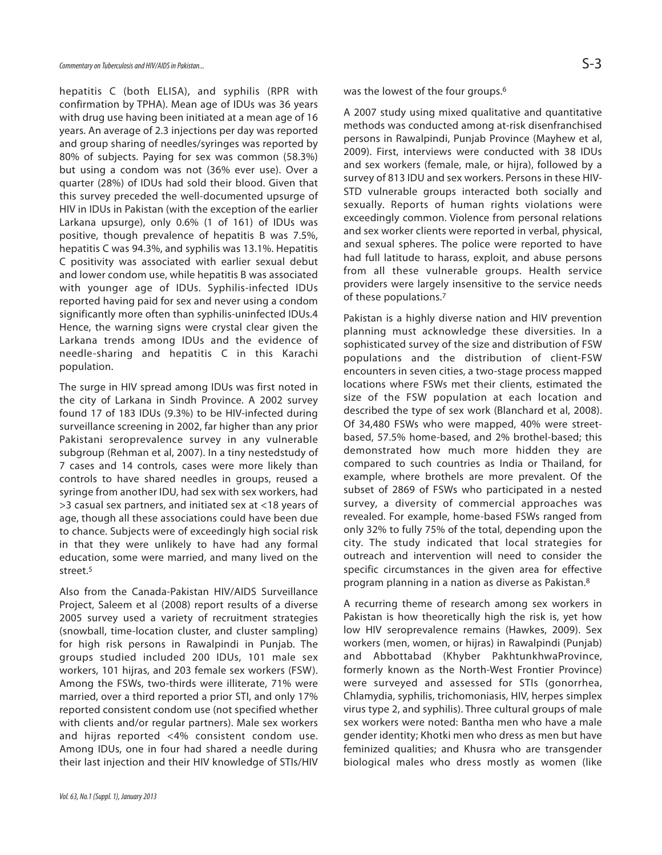hepatitis C (both ELISA), and syphilis (RPR with confirmation by TPHA). Mean age of IDUs was 36 years with drug use having been initiated at a mean age of 16 years. An average of 2.3 injections per day was reported and group sharing of needles/syringes was reported by 80% of subjects. Paying for sex was common (58.3%) but using a condom was not (36% ever use). Over a quarter (28%) of IDUs had sold their blood. Given that this survey preceded the well-documented upsurge of HIV in IDUs in Pakistan (with the exception of the earlier Larkana upsurge), only 0.6% (1 of 161) of IDUs was positive, though prevalence of hepatitis B was 7.5%, hepatitis C was 94.3%, and syphilis was 13.1%. Hepatitis C positivity was associated with earlier sexual debut and lower condom use, while hepatitis B was associated with younger age of IDUs. Syphilis-infected IDUs reported having paid for sex and never using a condom significantly more often than syphilis-uninfected IDUs.4 Hence, the warning signs were crystal clear given the Larkana trends among IDUs and the evidence of needle-sharing and hepatitis C in this Karachi population.

The surge in HIV spread among IDUs was first noted in the city of Larkana in Sindh Province. A 2002 survey found 17 of 183 IDUs (9.3%) to be HIV-infected during surveillance screening in 2002, far higher than any prior Pakistani seroprevalence survey in any vulnerable subgroup (Rehman et al, 2007). In a tiny nestedstudy of 7 cases and 14 controls, cases were more likely than controls to have shared needles in groups, reused a syringe from another IDU, had sex with sex workers, had >3 casual sex partners, and initiated sex at <18 years of age, though all these associations could have been due to chance. Subjects were of exceedingly high social risk in that they were unlikely to have had any formal education, some were married, and many lived on the street.<sup>5</sup>

Also from the Canada-Pakistan HIV/AIDS Surveillance Project, Saleem et al (2008) report results of a diverse 2005 survey used a variety of recruitment strategies (snowball, time-location cluster, and cluster sampling) for high risk persons in Rawalpindi in Punjab. The groups studied included 200 IDUs, 101 male sex workers, 101 hijras, and 203 female sex workers (FSW). Among the FSWs, two-thirds were illiterate, 71% were married, over a third reported a prior STI, and only 17% reported consistent condom use (not specified whether with clients and/or regular partners). Male sex workers and hijras reported <4% consistent condom use. Among IDUs, one in four had shared a needle during their last injection and their HIV knowledge of STIs/HIV was the lowest of the four groups.<sup>6</sup>

A 2007 study using mixed qualitative and quantitative methods was conducted among at-risk disenfranchised persons in Rawalpindi, Punjab Province (Mayhew et al, 2009). First, interviews were conducted with 38 IDUs and sex workers (female, male, or hijra), followed by a survey of 813 IDU and sex workers. Persons in these HIV-STD vulnerable groups interacted both socially and sexually. Reports of human rights violations were exceedingly common. Violence from personal relations and sex worker clients were reported in verbal, physical, and sexual spheres. The police were reported to have had full latitude to harass, exploit, and abuse persons from all these vulnerable groups. Health service providers were largely insensitive to the service needs of these populations.<sup>7</sup>

Pakistan is a highly diverse nation and HIV prevention planning must acknowledge these diversities. In a sophisticated survey of the size and distribution of FSW populations and the distribution of client-FSW encounters in seven cities, a two-stage process mapped locations where FSWs met their clients, estimated the size of the FSW population at each location and described the type of sex work (Blanchard et al, 2008). Of 34,480 FSWs who were mapped, 40% were streetbased, 57.5% home-based, and 2% brothel-based; this demonstrated how much more hidden they are compared to such countries as India or Thailand, for example, where brothels are more prevalent. Of the subset of 2869 of FSWs who participated in a nested survey, a diversity of commercial approaches was revealed. For example, home-based FSWs ranged from only 32% to fully 75% of the total, depending upon the city. The study indicated that local strategies for outreach and intervention will need to consider the specific circumstances in the given area for effective program planning in a nation as diverse as Pakistan. 8

A recurring theme of research among sex workers in Pakistan is how theoretically high the risk is, yet how low HIV seroprevalence remains (Hawkes, 2009). Sex workers (men, women, or hijras) in Rawalpindi (Punjab) and Abbottabad (Khyber PakhtunkhwaProvince, formerly known as the North-West Frontier Province) were surveyed and assessed for STIs (gonorrhea, Chlamydia, syphilis, trichomoniasis, HIV, herpes simplex virus type 2, and syphilis). Three cultural groups of male sex workers were noted: Bantha men who have a male gender identity; Khotki men who dress as men but have feminized qualities; and Khusra who are transgender biological males who dress mostly as women (like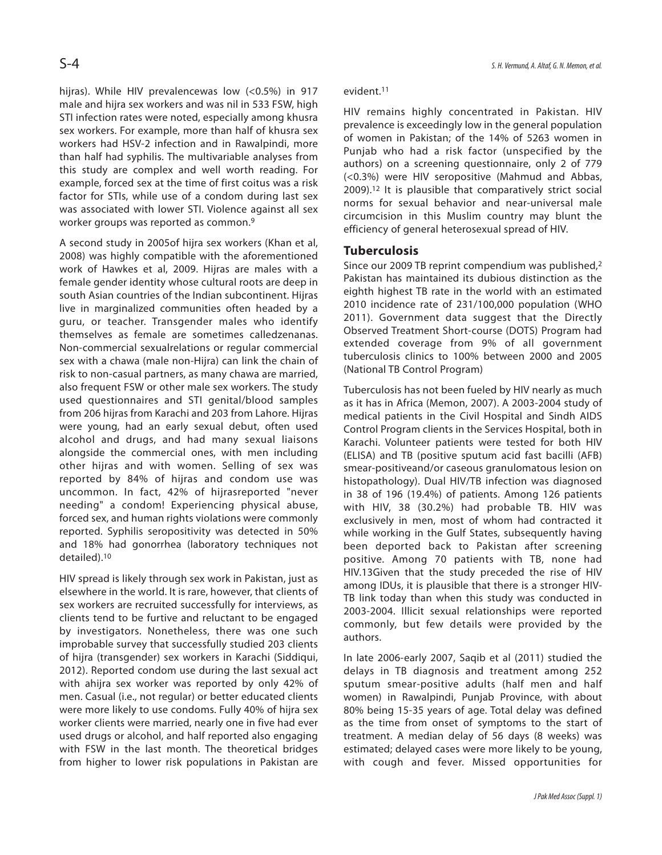hijras). While HIV prevalencewas low (<0.5%) in 917 male and hijra sex workers and was nil in 533 FSW, high STI infection rates were noted, especially among khusra sex workers. For example, more than half of khusra sex workers had HSV-2 infection and in Rawalpindi, more than half had syphilis. The multivariable analyses from this study are complex and well worth reading. For example, forced sex at the time of first coitus was a risk factor for STIs, while use of a condom during last sex was associated with lower STI. Violence against all sex worker groups was reported as common.<sup>9</sup>

A second study in 2005of hijra sex workers (Khan et al, 2008) was highly compatible with the aforementioned work of Hawkes et al, 2009. Hijras are males with a female gender identity whose cultural roots are deep in south Asian countries of the Indian subcontinent. Hijras live in marginalized communities often headed by a guru, or teacher. Transgender males who identify themselves as female are sometimes calledzenanas. Non-commercial sexualrelations or regular commercial sex with a chawa (male non-Hijra) can link the chain of risk to non-casual partners, as many chawa are married, also frequent FSW or other male sex workers. The study used questionnaires and STI genital/blood samples from 206 hijras from Karachi and 203 from Lahore. Hijras were young, had an early sexual debut, often used alcohol and drugs, and had many sexual liaisons alongside the commercial ones, with men including other hijras and with women. Selling of sex was reported by 84% of hijras and condom use was uncommon. In fact, 42% of hijrasreported "never needing" a condom! Experiencing physical abuse, forced sex, and human rights violations were commonly reported. Syphilis seropositivity was detected in 50% and 18% had gonorrhea (laboratory techniques not detailed).<sup>10</sup>

HIV spread is likely through sex work in Pakistan, just as elsewhere in the world. It is rare, however, that clients of sex workers are recruited successfully for interviews, as clients tend to be furtive and reluctant to be engaged by investigators. Nonetheless, there was one such improbable survey that successfully studied 203 clients of hijra (transgender) sex workers in Karachi (Siddiqui, 2012). Reported condom use during the last sexual act with ahijra sex worker was reported by only 42% of men. Casual (i.e., not regular) or better educated clients were more likely to use condoms. Fully 40% of hijra sex worker clients were married, nearly one in five had ever used drugs or alcohol, and half reported also engaging with FSW in the last month. The theoretical bridges from higher to lower risk populations in Pakistan are

#### evident.<sup>11</sup>

HIV remains highly concentrated in Pakistan. HIV prevalence is exceedingly low in the general population of women in Pakistan; of the 14% of 5263 women in Punjab who had a risk factor (unspecified by the authors) on a screening questionnaire, only 2 of 779 (<0.3%) were HIV seropositive (Mahmud and Abbas, 2009).<sup>12</sup> It is plausible that comparatively strict social norms for sexual behavior and near-universal male circumcision in this Muslim country may blunt the efficiency of general heterosexual spread of HIV.

## **Tuberculosis**

Since our 2009 TB reprint compendium was published,<sup>2</sup> Pakistan has maintained its dubious distinction as the eighth highest TB rate in the world with an estimated 2010 incidence rate of 231/100,000 population (WHO 2011). Government data suggest that the Directly Observed Treatment Short-course (DOTS) Program had extended coverage from 9% of all government tuberculosis clinics to 100% between 2000 and 2005 (National TB Control Program)

Tuberculosis has not been fueled by HIV nearly as much as it has in Africa (Memon, 2007). A 2003-2004 study of medical patients in the Civil Hospital and Sindh AIDS Control Program clients in the Services Hospital, both in Karachi. Volunteer patients were tested for both HIV (ELISA) and TB (positive sputum acid fast bacilli (AFB) smear-positiveand/or caseous granulomatous lesion on histopathology). Dual HIV/TB infection was diagnosed in 38 of 196 (19.4%) of patients. Among 126 patients with HIV, 38 (30.2%) had probable TB. HIV was exclusively in men, most of whom had contracted it while working in the Gulf States, subsequently having been deported back to Pakistan after screening positive. Among 70 patients with TB, none had HIV.13Given that the study preceded the rise of HIV among IDUs, it is plausible that there is a stronger HIV-TB link today than when this study was conducted in 2003-2004. Illicit sexual relationships were reported commonly, but few details were provided by the authors.

In late 2006-early 2007, Saqib et al (2011) studied the delays in TB diagnosis and treatment among 252 sputum smear-positive adults (half men and half women) in Rawalpindi, Punjab Province, with about 80% being 15-35 years of age. Total delay was defined as the time from onset of symptoms to the start of treatment. A median delay of 56 days (8 weeks) was estimated; delayed cases were more likely to be young, with cough and fever. Missed opportunities for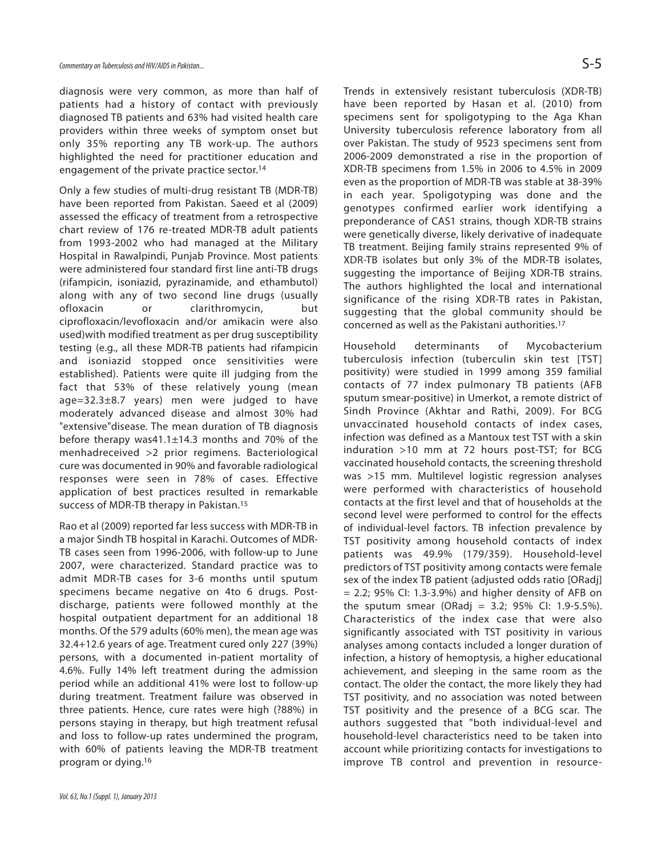diagnosis were very common, as more than half of patients had a history of contact with previously diagnosed TB patients and 63% had visited health care providers within three weeks of symptom onset but only 35% reporting any TB work-up. The authors highlighted the need for practitioner education and engagement of the private practice sector.<sup>14</sup>

Only a few studies of multi-drug resistant TB (MDR-TB) have been reported from Pakistan. Saeed et al (2009) assessed the efficacy of treatment from a retrospective chart review of 176 re-treated MDR-TB adult patients from 1993-2002 who had managed at the Military Hospital in Rawalpindi, Punjab Province. Most patients were administered four standard first line anti-TB drugs (rifampicin, isoniazid, pyrazinamide, and ethambutol) along with any of two second line drugs (usually ofloxacin or clarithromycin, but ciprofloxacin/levofloxacin and/or amikacin were also used)with modified treatment as per drug susceptibility testing (e.g., all these MDR-TB patients had rifampicin and isoniazid stopped once sensitivities were established). Patients were quite ill judging from the fact that 53% of these relatively young (mean age=32.3±8.7 years) men were judged to have moderately advanced disease and almost 30% had "extensive"disease. The mean duration of TB diagnosis before therapy was41.1±14.3 months and 70% of the menhadreceived >2 prior regimens. Bacteriological cure was documented in 90% and favorable radiological responses were seen in 78% of cases. Effective application of best practices resulted in remarkable success of MDR-TB therapy in Pakistan.<sup>15</sup>

Rao et al (2009) reported far less success with MDR-TB in a major Sindh TB hospital in Karachi. Outcomes of MDR-TB cases seen from 1996-2006, with follow-up to June 2007, were characterized. Standard practice was to admit MDR-TB cases for 3-6 months until sputum specimens became negative on 4to 6 drugs. Postdischarge, patients were followed monthly at the hospital outpatient department for an additional 18 months. Of the 579 adults (60% men), the mean age was 32.4+12.6 years of age. Treatment cured only 227 (39%) persons, with a documented in-patient mortality of 4.6%. Fully 14% left treatment during the admission period while an additional 41% were lost to follow-up during treatment. Treatment failure was observed in three patients. Hence, cure rates were high (?88%) in persons staying in therapy, but high treatment refusal and loss to follow-up rates undermined the program, with 60% of patients leaving the MDR-TB treatment program or dying.<sup>16</sup>

Trends in extensively resistant tuberculosis (XDR-TB) have been reported by Hasan et al. (2010) from specimens sent for spoligotyping to the Aga Khan University tuberculosis reference laboratory from all over Pakistan. The study of 9523 specimens sent from 2006-2009 demonstrated a rise in the proportion of XDR-TB specimens from 1.5% in 2006 to 4.5% in 2009 even as the proportion of MDR-TB was stable at 38-39% in each year. Spoligotyping was done and the genotypes confirmed earlier work identifying a preponderance of CAS1 strains, though XDR-TB strains were genetically diverse, likely derivative of inadequate TB treatment. Beijing family strains represented 9% of XDR-TB isolates but only 3% of the MDR-TB isolates, suggesting the importance of Beijing XDR-TB strains. The authors highlighted the local and international significance of the rising XDR-TB rates in Pakistan, suggesting that the global community should be concerned as well as the Pakistani authorities.<sup>17</sup>

Household determinants of Mycobacterium tuberculosis infection (tuberculin skin test [TST] positivity) were studied in 1999 among 359 familial contacts of 77 index pulmonary TB patients (AFB sputum smear-positive) in Umerkot, a remote district of Sindh Province (Akhtar and Rathi, 2009). For BCG unvaccinated household contacts of index cases, infection was defined as a Mantoux test TST with a skin induration >10 mm at 72 hours post-TST; for BCG vaccinated household contacts, the screening threshold was >15 mm. Multilevel logistic regression analyses were performed with characteristics of household contacts at the first level and that of households at the second level were performed to control for the effects of individual-level factors. TB infection prevalence by TST positivity among household contacts of index patients was 49.9% (179/359). Household-level predictors of TST positivity among contacts were female sex of the index TB patient (adjusted odds ratio [ORadj] = 2.2; 95% CI: 1.3-3.9%) and higher density of AFB on the sputum smear (ORadj = 3.2; 95% CI: 1.9-5.5%). Characteristics of the index case that were also significantly associated with TST positivity in various analyses among contacts included a longer duration of infection, a history of hemoptysis, a higher educational achievement, and sleeping in the same room as the contact. The older the contact, the more likely they had TST positivity, and no association was noted between TST positivity and the presence of a BCG scar. The authors suggested that "both individual-level and household-level characteristics need to be taken into account while prioritizing contacts for investigations to improve TB control and prevention in resource-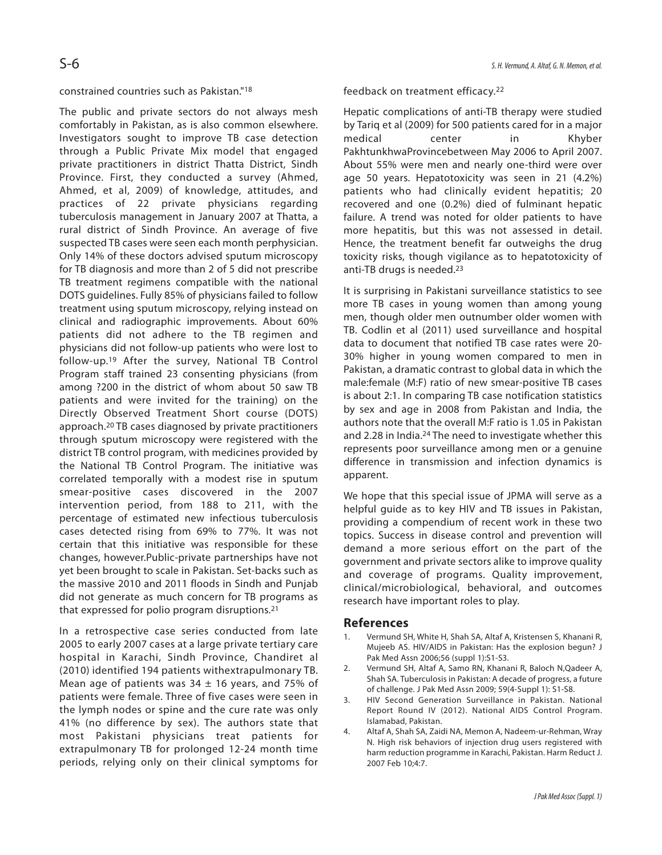## constrained countries such as Pakistan."<sup>18</sup>

The public and private sectors do not always mesh comfortably in Pakistan, as is also common elsewhere. Investigators sought to improve TB case detection through a Public Private Mix model that engaged private practitioners in district Thatta District, Sindh Province. First, they conducted a survey (Ahmed, Ahmed, et al, 2009) of knowledge, attitudes, and practices of 22 private physicians regarding tuberculosis management in January 2007 at Thatta, a rural district of Sindh Province. An average of five suspected TB cases were seen each month perphysician. Only 14% of these doctors advised sputum microscopy for TB diagnosis and more than 2 of 5 did not prescribe TB treatment regimens compatible with the national DOTS guidelines. Fully 85% of physicians failed to follow treatment using sputum microscopy, relying instead on clinical and radiographic improvements. About 60% patients did not adhere to the TB regimen and physicians did not follow-up patients who were lost to follow-up.<sup>19</sup> After the survey, National TB Control Program staff trained 23 consenting physicians (from among ?200 in the district of whom about 50 saw TB patients and were invited for the training) on the Directly Observed Treatment Short course (DOTS) approach.<sup>20</sup> TB cases diagnosed by private practitioners through sputum microscopy were registered with the district TB control program, with medicines provided by the National TB Control Program. The initiative was correlated temporally with a modest rise in sputum smear-positive cases discovered in the 2007 intervention period, from 188 to 211, with the percentage of estimated new infectious tuberculosis cases detected rising from 69% to 77%. It was not certain that this initiative was responsible for these changes, however.Public-private partnerships have not yet been brought to scale in Pakistan. Set-backs such as the massive 2010 and 2011 floods in Sindh and Punjab did not generate as much concern for TB programs as that expressed for polio program disruptions.<sup>21</sup>

In a retrospective case series conducted from late 2005 to early 2007 cases at a large private tertiary care hospital in Karachi, Sindh Province, Chandiret al (2010) identified 194 patients withextrapulmonary TB. Mean age of patients was  $34 \pm 16$  years, and 75% of patients were female. Three of five cases were seen in the lymph nodes or spine and the cure rate was only 41% (no difference by sex). The authors state that most Pakistani physicians treat patients for extrapulmonary TB for prolonged 12-24 month time periods, relying only on their clinical symptoms for feedback on treatment efficacy.<sup>22</sup>

Hepatic complications of anti-TB therapy were studied by Tariq et al (2009) for 500 patients cared for in a major medical center in Khyber PakhtunkhwaProvincebetween May 2006 to April 2007. About 55% were men and nearly one-third were over age 50 years. Hepatotoxicity was seen in 21 (4.2%) patients who had clinically evident hepatitis; 20 recovered and one (0.2%) died of fulminant hepatic failure. A trend was noted for older patients to have more hepatitis, but this was not assessed in detail. Hence, the treatment benefit far outweighs the drug toxicity risks, though vigilance as to hepatotoxicity of anti-TB drugs is needed.<sup>23</sup>

It is surprising in Pakistani surveillance statistics to see more TB cases in young women than among young men, though older men outnumber older women with TB. Codlin et al (2011) used surveillance and hospital data to document that notified TB case rates were 20- 30% higher in young women compared to men in Pakistan, a dramatic contrast to global data in which the male:female (M:F) ratio of new smear-positive TB cases is about 2:1. In comparing TB case notification statistics by sex and age in 2008 from Pakistan and India, the authors note that the overall M:F ratio is 1.05 in Pakistan and 2.28 in India.<sup>24</sup> The need to investigate whether this represents poor surveillance among men or a genuine difference in transmission and infection dynamics is apparent.

We hope that this special issue of JPMA will serve as a helpful guide as to key HIV and TB issues in Pakistan, providing a compendium of recent work in these two topics. Success in disease control and prevention will demand a more serious effort on the part of the government and private sectors alike to improve quality and coverage of programs. Quality improvement, clinical/microbiological, behavioral, and outcomes research have important roles to play.

## **References**

- 1. Vermund SH, White H, Shah SA, Altaf A, Kristensen S, Khanani R, Mujeeb AS. HIV/AIDS in Pakistan: Has the explosion begun? J Pak Med Assn 2006;56 (suppl 1):S1-S3.
- 2. Vermund SH, Altaf A, Samo RN, Khanani R, Baloch N,Qadeer A, Shah SA. Tuberculosis in Pakistan: A decade of progress, a future of challenge. J Pak Med Assn 2009; 59(4-Suppl 1): S1-S8.
- 3. HIV Second Generation Surveillance in Pakistan. National Report Round IV (2012). National AIDS Control Program. Islamabad, Pakistan.
- 4. Altaf A, Shah SA, Zaidi NA, Memon A, Nadeem-ur-Rehman, Wray N. High risk behaviors of injection drug users registered with harm reduction programme in Karachi, Pakistan. Harm Reduct J. 2007 Feb 10;4:7.